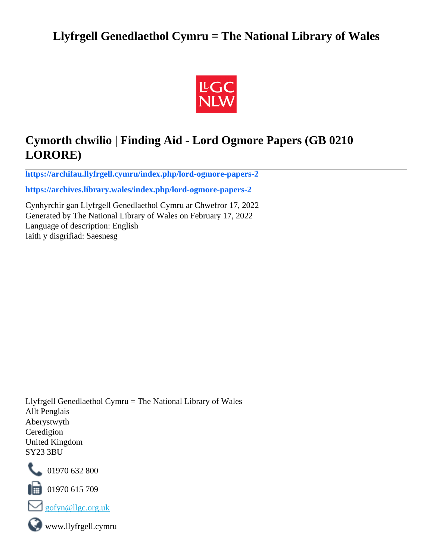# **Llyfrgell Genedlaethol Cymru = The National Library of Wales**



# **Cymorth chwilio | Finding Aid - Lord Ogmore Papers (GB 0210 LORORE)**

**[https://archifau.llyfrgell.cymru/index.php/lord-ogmore-papers-2](https://archifau.llyfrgell.cymru/index.php/lord-ogmore-papers-2;isad?sf_culture=cy)**

**[https://archives.library.wales/index.php/lord-ogmore-papers-2](https://archives.library.wales/index.php/lord-ogmore-papers-2;isad?sf_culture=en)**

Cynhyrchir gan Llyfrgell Genedlaethol Cymru ar Chwefror 17, 2022 Generated by The National Library of Wales on February 17, 2022 Language of description: English Iaith y disgrifiad: Saesnesg

Llyfrgell Genedlaethol Cymru = The National Library of Wales Allt Penglais Aberystwyth Ceredigion United Kingdom SY23 3BU



101970 632 800

 $\blacksquare$  01970 615 709



www.llyfrgell.cymru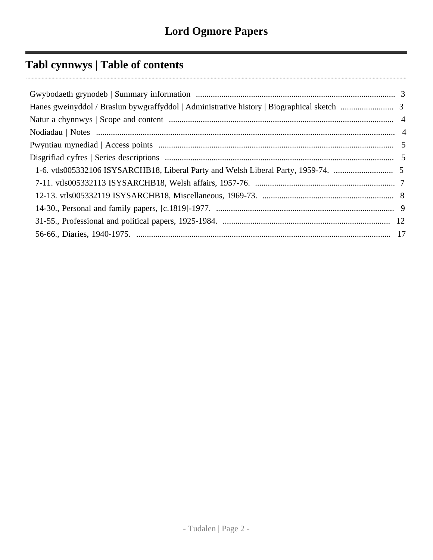# **Tabl cynnwys | Table of contents**

| 1-6. vtls005332106 ISYSARCHB18, Liberal Party and Welsh Liberal Party, 1959-74. |  |
|---------------------------------------------------------------------------------|--|
|                                                                                 |  |
|                                                                                 |  |
|                                                                                 |  |
|                                                                                 |  |
|                                                                                 |  |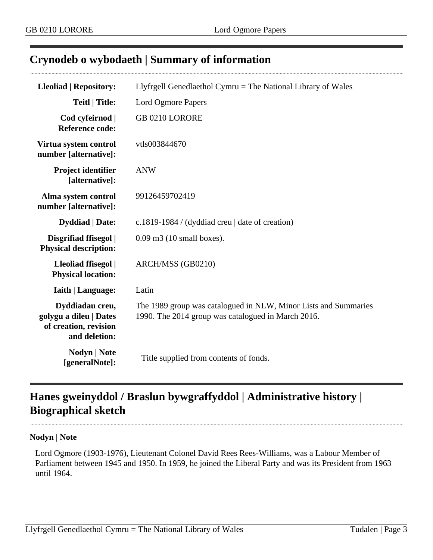## <span id="page-2-0"></span>**Crynodeb o wybodaeth | Summary of information**

| <b>Lleoliad   Repository:</b>                                                       | Llyfrgell Genedlaethol Cymru = The National Library of Wales                                                          |
|-------------------------------------------------------------------------------------|-----------------------------------------------------------------------------------------------------------------------|
| <b>Teitl   Title:</b>                                                               | Lord Ogmore Papers                                                                                                    |
| Cod cyfeirnod  <br><b>Reference code:</b>                                           | GB 0210 LORORE                                                                                                        |
| Virtua system control<br>number [alternative]:                                      | vtls003844670                                                                                                         |
| Project identifier<br>[alternative]:                                                | <b>ANW</b>                                                                                                            |
| Alma system control<br>number [alternative]:                                        | 99126459702419                                                                                                        |
| <b>Dyddiad</b>   Date:                                                              | c.1819-1984 / (dyddiad creu $\vert$ date of creation)                                                                 |
| Disgrifiad ffisegol  <br><b>Physical description:</b>                               | $0.09$ m3 (10 small boxes).                                                                                           |
| Lleoliad ffisegol  <br><b>Physical location:</b>                                    | ARCH/MSS (GB0210)                                                                                                     |
| <b>Iaith   Language:</b>                                                            | Latin                                                                                                                 |
| Dyddiadau creu,<br>golygu a dileu   Dates<br>of creation, revision<br>and deletion: | The 1989 group was catalogued in NLW, Minor Lists and Summaries<br>1990. The 2014 group was catalogued in March 2016. |
| Nodyn   Note<br>[generalNote]:                                                      | Title supplied from contents of fonds.                                                                                |

# <span id="page-2-1"></span>**Hanes gweinyddol / Braslun bywgraffyddol | Administrative history | Biographical sketch**

#### **Nodyn | Note**

Lord Ogmore (1903-1976), Lieutenant Colonel David Rees Rees-Williams, was a Labour Member of Parliament between 1945 and 1950. In 1959, he joined the Liberal Party and was its President from 1963 until 1964.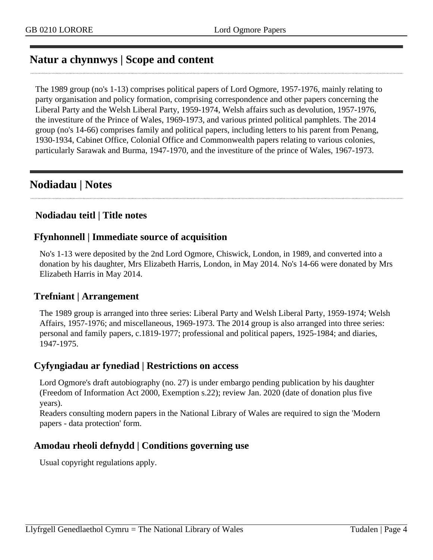# <span id="page-3-0"></span>**Natur a chynnwys | Scope and content**

The 1989 group (no's 1-13) comprises political papers of Lord Ogmore, 1957-1976, mainly relating to party organisation and policy formation, comprising correspondence and other papers concerning the Liberal Party and the Welsh Liberal Party, 1959-1974, Welsh affairs such as devolution, 1957-1976, the investiture of the Prince of Wales, 1969-1973, and various printed political pamphlets. The 2014 group (no's 14-66) comprises family and political papers, including letters to his parent from Penang, 1930-1934, Cabinet Office, Colonial Office and Commonwealth papers relating to various colonies, particularly Sarawak and Burma, 1947-1970, and the investiture of the prince of Wales, 1967-1973.

# <span id="page-3-1"></span>**Nodiadau | Notes**

### **Nodiadau teitl | Title notes**

#### **Ffynhonnell | Immediate source of acquisition**

No's 1-13 were deposited by the 2nd Lord Ogmore, Chiswick, London, in 1989, and converted into a donation by his daughter, Mrs Elizabeth Harris, London, in May 2014. No's 14-66 were donated by Mrs Elizabeth Harris in May 2014.

#### **Trefniant | Arrangement**

The 1989 group is arranged into three series: Liberal Party and Welsh Liberal Party, 1959-1974; Welsh Affairs, 1957-1976; and miscellaneous, 1969-1973. The 2014 group is also arranged into three series: personal and family papers, c.1819-1977; professional and political papers, 1925-1984; and diaries, 1947-1975.

#### **Cyfyngiadau ar fynediad | Restrictions on access**

Lord Ogmore's draft autobiography (no. 27) is under embargo pending publication by his daughter (Freedom of Information Act 2000, Exemption s.22); review Jan. 2020 (date of donation plus five years).

Readers consulting modern papers in the National Library of Wales are required to sign the 'Modern papers - data protection' form.

#### **Amodau rheoli defnydd | Conditions governing use**

Usual copyright regulations apply.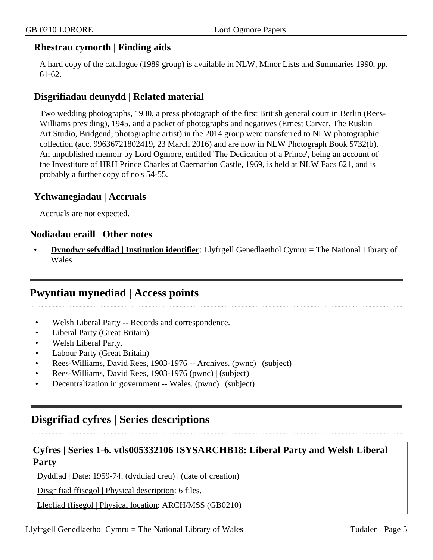#### **Rhestrau cymorth | Finding aids**

A hard copy of the catalogue (1989 group) is available in NLW, Minor Lists and Summaries 1990, pp. 61-62.

#### **Disgrifiadau deunydd | Related material**

Two wedding photographs, 1930, a press photograph of the first British general court in Berlin (Rees-Williams presiding), 1945, and a packet of photographs and negatives (Ernest Carver, The Ruskin Art Studio, Bridgend, photographic artist) in the 2014 group were transferred to NLW photographic collection (acc. 99636721802419, 23 March 2016) and are now in NLW Photograph Book 5732(b). An unpublished memoir by Lord Ogmore, entitled 'The Dedication of a Prince', being an account of the Investiture of HRH Prince Charles at Caernarfon Castle, 1969, is held at NLW Facs 621, and is probably a further copy of no's 54-55.

#### **Ychwanegiadau | Accruals**

Accruals are not expected.

#### **Nodiadau eraill | Other notes**

• **Dynodwr sefydliad | Institution identifier**: Llyfrgell Genedlaethol Cymru = The National Library of Wales

## <span id="page-4-0"></span>**Pwyntiau mynediad | Access points**

- Welsh Liberal Party -- Records and correspondence.
- Liberal Party (Great Britain)
- Welsh Liberal Party.
- Labour Party (Great Britain)
- Rees-Williams, David Rees, 1903-1976 -- Archives. (pwnc) | (subject)
- Rees-Williams, David Rees, 1903-1976 (pwnc) | (subject)
- Decentralization in government -- Wales. (pwnc) | (subject)

# <span id="page-4-1"></span>**Disgrifiad cyfres | Series descriptions**

### <span id="page-4-2"></span>**Cyfres | Series 1-6. vtls005332106 ISYSARCHB18: Liberal Party and Welsh Liberal Party**

Dyddiad | Date: 1959-74. (dyddiad creu) | (date of creation)

Disgrifiad ffisegol | Physical description: 6 files.

Lleoliad ffisegol | Physical location: ARCH/MSS (GB0210)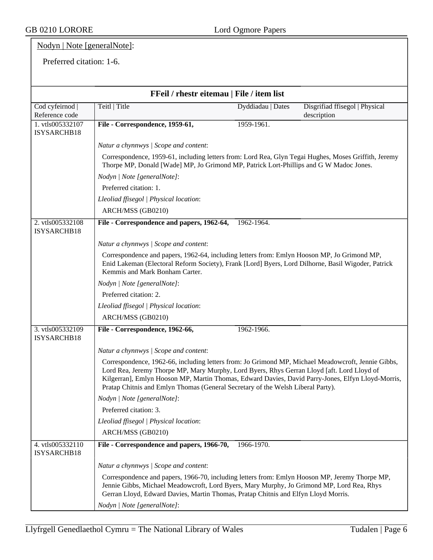GB 0210 LORORE Lord Ogmore Papers

## Nodyn | Note [generalNote]:

#### Preferred citation: 1-6.

| FFeil / rhestr eitemau   File / item list |                                                                                                                                                                                                                                                                                                                                                                                          |                   |                                               |  |
|-------------------------------------------|------------------------------------------------------------------------------------------------------------------------------------------------------------------------------------------------------------------------------------------------------------------------------------------------------------------------------------------------------------------------------------------|-------------------|-----------------------------------------------|--|
| Cod cyfeirnod  <br>Reference code         | Teitl   Title                                                                                                                                                                                                                                                                                                                                                                            | Dyddiadau   Dates | Disgrifiad ffisegol   Physical<br>description |  |
| 1. vtls005332107<br>ISYSARCHB18           | File - Correspondence, 1959-61,                                                                                                                                                                                                                                                                                                                                                          | 1959-1961.        |                                               |  |
|                                           | Natur a chynnwys / Scope and content:                                                                                                                                                                                                                                                                                                                                                    |                   |                                               |  |
|                                           | Correspondence, 1959-61, including letters from: Lord Rea, Glyn Tegai Hughes, Moses Griffith, Jeremy<br>Thorpe MP, Donald [Wade] MP, Jo Grimond MP, Patrick Lort-Phillips and G W Madoc Jones.                                                                                                                                                                                           |                   |                                               |  |
|                                           | Nodyn   Note [generalNote]:                                                                                                                                                                                                                                                                                                                                                              |                   |                                               |  |
|                                           | Preferred citation: 1.                                                                                                                                                                                                                                                                                                                                                                   |                   |                                               |  |
|                                           | Lleoliad ffisegol   Physical location:                                                                                                                                                                                                                                                                                                                                                   |                   |                                               |  |
|                                           | ARCH/MSS (GB0210)                                                                                                                                                                                                                                                                                                                                                                        |                   |                                               |  |
| 2. vtls005332108<br>ISYSARCHB18           | File - Correspondence and papers, 1962-64,                                                                                                                                                                                                                                                                                                                                               | 1962-1964.        |                                               |  |
|                                           | Natur a chynnwys / Scope and content:                                                                                                                                                                                                                                                                                                                                                    |                   |                                               |  |
|                                           | Correspondence and papers, 1962-64, including letters from: Emlyn Hooson MP, Jo Grimond MP,<br>Enid Lakeman (Electoral Reform Society), Frank [Lord] Byers, Lord Dilhorne, Basil Wigoder, Patrick<br>Kemmis and Mark Bonham Carter.                                                                                                                                                      |                   |                                               |  |
|                                           | Nodyn   Note [generalNote]:                                                                                                                                                                                                                                                                                                                                                              |                   |                                               |  |
|                                           | Preferred citation: 2.                                                                                                                                                                                                                                                                                                                                                                   |                   |                                               |  |
|                                           | Lleoliad ffisegol   Physical location:                                                                                                                                                                                                                                                                                                                                                   |                   |                                               |  |
|                                           | ARCH/MSS (GB0210)                                                                                                                                                                                                                                                                                                                                                                        |                   |                                               |  |
| 3. vtls005332109<br>ISYSARCHB18           | File - Correspondence, 1962-66,                                                                                                                                                                                                                                                                                                                                                          | 1962-1966.        |                                               |  |
|                                           | Natur a chynnwys / Scope and content:                                                                                                                                                                                                                                                                                                                                                    |                   |                                               |  |
|                                           | Correspondence, 1962-66, including letters from: Jo Grimond MP, Michael Meadowcroft, Jennie Gibbs,<br>Lord Rea, Jeremy Thorpe MP, Mary Murphy, Lord Byers, Rhys Gerran Lloyd [aft. Lord Lloyd of<br>Kilgerran], Emlyn Hooson MP, Martin Thomas, Edward Davies, David Parry-Jones, Elfyn Lloyd-Morris,<br>Pratap Chitnis and Emlyn Thomas (General Secretary of the Welsh Liberal Party). |                   |                                               |  |
|                                           | Nodyn   Note [generalNote]:                                                                                                                                                                                                                                                                                                                                                              |                   |                                               |  |
|                                           | Preferred citation: 3.                                                                                                                                                                                                                                                                                                                                                                   |                   |                                               |  |
|                                           | Lleoliad ffisegol   Physical location:                                                                                                                                                                                                                                                                                                                                                   |                   |                                               |  |
|                                           | ARCH/MSS (GB0210)                                                                                                                                                                                                                                                                                                                                                                        |                   |                                               |  |
| 4. vtls005332110<br>ISYSARCHB18           | File - Correspondence and papers, 1966-70,                                                                                                                                                                                                                                                                                                                                               | 1966-1970.        |                                               |  |
|                                           | Natur a chynnwys / Scope and content:                                                                                                                                                                                                                                                                                                                                                    |                   |                                               |  |
|                                           | Correspondence and papers, 1966-70, including letters from: Emlyn Hooson MP, Jeremy Thorpe MP,<br>Jennie Gibbs, Michael Meadowcroft, Lord Byers, Mary Murphy, Jo Grimond MP, Lord Rea, Rhys<br>Gerran Lloyd, Edward Davies, Martin Thomas, Pratap Chitnis and Elfyn Lloyd Morris.                                                                                                        |                   |                                               |  |
|                                           | Nodyn   Note [generalNote]:                                                                                                                                                                                                                                                                                                                                                              |                   |                                               |  |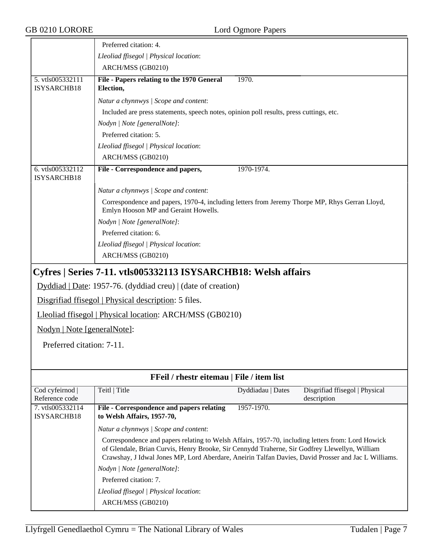<span id="page-6-0"></span>

| GB 0210 LORORE                    |                                                                                                                                                                                                                                                                                                           | Lord Ogmore Papers |                                               |  |
|-----------------------------------|-----------------------------------------------------------------------------------------------------------------------------------------------------------------------------------------------------------------------------------------------------------------------------------------------------------|--------------------|-----------------------------------------------|--|
|                                   | Preferred citation: 4.                                                                                                                                                                                                                                                                                    |                    |                                               |  |
|                                   | Lleoliad ffisegol   Physical location:                                                                                                                                                                                                                                                                    |                    |                                               |  |
|                                   | ARCH/MSS (GB0210)                                                                                                                                                                                                                                                                                         |                    |                                               |  |
| 5. vtls005332111                  | File - Papers relating to the 1970 General                                                                                                                                                                                                                                                                | 1970.              |                                               |  |
| ISYSARCHB18                       | Election,                                                                                                                                                                                                                                                                                                 |                    |                                               |  |
|                                   | Natur a chynnwys / Scope and content:                                                                                                                                                                                                                                                                     |                    |                                               |  |
|                                   | Included are press statements, speech notes, opinion poll results, press cuttings, etc.                                                                                                                                                                                                                   |                    |                                               |  |
|                                   | Nodyn   Note [generalNote]:                                                                                                                                                                                                                                                                               |                    |                                               |  |
|                                   | Preferred citation: 5.                                                                                                                                                                                                                                                                                    |                    |                                               |  |
|                                   | Lleoliad ffisegol   Physical location:                                                                                                                                                                                                                                                                    |                    |                                               |  |
|                                   | ARCH/MSS (GB0210)                                                                                                                                                                                                                                                                                         |                    |                                               |  |
| 6. vtls005332112<br>ISYSARCHB18   | File - Correspondence and papers,                                                                                                                                                                                                                                                                         | 1970-1974.         |                                               |  |
|                                   | Natur a chynnwys / Scope and content:                                                                                                                                                                                                                                                                     |                    |                                               |  |
|                                   | Correspondence and papers, 1970-4, including letters from Jeremy Thorpe MP, Rhys Gerran Lloyd,<br>Emlyn Hooson MP and Geraint Howells.                                                                                                                                                                    |                    |                                               |  |
|                                   | Nodyn   Note [generalNote]:                                                                                                                                                                                                                                                                               |                    |                                               |  |
|                                   | Preferred citation: 6.                                                                                                                                                                                                                                                                                    |                    |                                               |  |
|                                   | Lleoliad ffisegol   Physical location:                                                                                                                                                                                                                                                                    |                    |                                               |  |
|                                   | ARCH/MSS (GB0210)                                                                                                                                                                                                                                                                                         |                    |                                               |  |
|                                   | Cyfres   Series 7-11. vtls005332113 ISYSARCHB18: Welsh affairs                                                                                                                                                                                                                                            |                    |                                               |  |
|                                   | Dyddiad   Date: 1957-76. (dyddiad creu)   (date of creation)                                                                                                                                                                                                                                              |                    |                                               |  |
|                                   | Disgrifiad ffisegol   Physical description: 5 files.                                                                                                                                                                                                                                                      |                    |                                               |  |
|                                   | Lleoliad ffisegol   Physical location: ARCH/MSS (GB0210)                                                                                                                                                                                                                                                  |                    |                                               |  |
| Nodyn   Note [generalNote]:       |                                                                                                                                                                                                                                                                                                           |                    |                                               |  |
| Preferred citation: 7-11.         |                                                                                                                                                                                                                                                                                                           |                    |                                               |  |
|                                   |                                                                                                                                                                                                                                                                                                           |                    |                                               |  |
|                                   |                                                                                                                                                                                                                                                                                                           |                    |                                               |  |
|                                   | FFeil / rhestr eitemau   File / item list                                                                                                                                                                                                                                                                 |                    |                                               |  |
| Cod cyfeirnod  <br>Reference code | Teitl   Title                                                                                                                                                                                                                                                                                             | Dyddiadau   Dates  | Disgrifiad ffisegol   Physical<br>description |  |
| 7. vtls005332114<br>ISYSARCHB18   | File - Correspondence and papers relating<br>to Welsh Affairs, 1957-70,                                                                                                                                                                                                                                   | 1957-1970.         |                                               |  |
|                                   | Natur a chynnwys / Scope and content:                                                                                                                                                                                                                                                                     |                    |                                               |  |
|                                   | Correspondence and papers relating to Welsh Affairs, 1957-70, including letters from: Lord Howick<br>of Glendale, Brian Curvis, Henry Brooke, Sir Cennydd Traherne, Sir Godfrey Llewellyn, William<br>Crawshay, J Idwal Jones MP, Lord Aberdare, Aneirin Talfan Davies, David Prosser and Jac L Williams. |                    |                                               |  |
|                                   | Nodyn   Note [generalNote]:                                                                                                                                                                                                                                                                               |                    |                                               |  |
|                                   | Preferred citation: 7.                                                                                                                                                                                                                                                                                    |                    |                                               |  |
|                                   | Lleoliad ffisegol   Physical location:                                                                                                                                                                                                                                                                    |                    |                                               |  |
|                                   | ARCH/MSS (GB0210)                                                                                                                                                                                                                                                                                         |                    |                                               |  |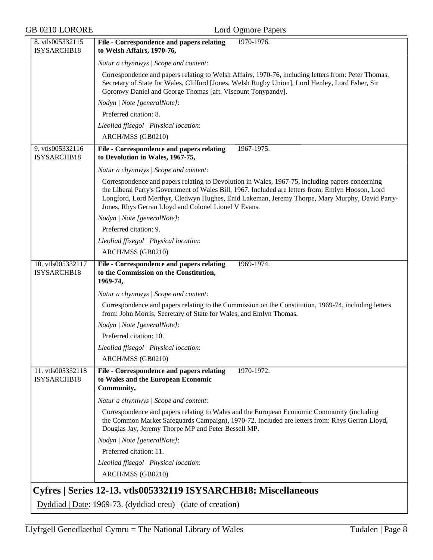<span id="page-7-0"></span>

| <b>GB 0210 LORORE</b>            | Lord Ogmore Papers                                                                                                                                                                                                                                                                                                                                             |
|----------------------------------|----------------------------------------------------------------------------------------------------------------------------------------------------------------------------------------------------------------------------------------------------------------------------------------------------------------------------------------------------------------|
| 8. vtls005332115<br>ISYSARCHB18  | 1970-1976.<br>File - Correspondence and papers relating<br>to Welsh Affairs, 1970-76,                                                                                                                                                                                                                                                                          |
|                                  | Natur a chynnwys / Scope and content:                                                                                                                                                                                                                                                                                                                          |
|                                  | Correspondence and papers relating to Welsh Affairs, 1970-76, including letters from: Peter Thomas,<br>Secretary of State for Wales, Clifford [Jones, Welsh Rugby Union], Lord Henley, Lord Esher, Sir<br>Goronwy Daniel and George Thomas [aft. Viscount Tonypandy].                                                                                          |
|                                  | Nodyn   Note [generalNote]:                                                                                                                                                                                                                                                                                                                                    |
|                                  | Preferred citation: 8.                                                                                                                                                                                                                                                                                                                                         |
|                                  | Lleoliad ffisegol   Physical location:                                                                                                                                                                                                                                                                                                                         |
|                                  | ARCH/MSS (GB0210)                                                                                                                                                                                                                                                                                                                                              |
| 9. vtls005332116<br>ISYSARCHB18  | File - Correspondence and papers relating<br>1967-1975.<br>to Devolution in Wales, 1967-75,                                                                                                                                                                                                                                                                    |
|                                  | Natur a chynnwys / Scope and content:                                                                                                                                                                                                                                                                                                                          |
|                                  | Correspondence and papers relating to Devolution in Wales, 1967-75, including papers concerning<br>the Liberal Party's Government of Wales Bill, 1967. Included are letters from: Emlyn Hooson, Lord<br>Longford, Lord Merthyr, Cledwyn Hughes, Enid Lakeman, Jeremy Thorpe, Mary Murphy, David Parry-<br>Jones, Rhys Gerran Lloyd and Colonel Lionel V Evans. |
|                                  | Nodyn   Note [generalNote]:                                                                                                                                                                                                                                                                                                                                    |
|                                  | Preferred citation: 9.                                                                                                                                                                                                                                                                                                                                         |
|                                  | Lleoliad ffisegol   Physical location:                                                                                                                                                                                                                                                                                                                         |
|                                  | ARCH/MSS (GB0210)                                                                                                                                                                                                                                                                                                                                              |
| 10. vtls005332117<br>ISYSARCHB18 | 1969-1974.<br>File - Correspondence and papers relating<br>to the Commission on the Constitution,<br>1969-74,                                                                                                                                                                                                                                                  |
|                                  | Natur a chynnwys / Scope and content:                                                                                                                                                                                                                                                                                                                          |
|                                  | Correspondence and papers relating to the Commission on the Constitution, 1969-74, including letters<br>from: John Morris, Secretary of State for Wales, and Emlyn Thomas.                                                                                                                                                                                     |
|                                  | Nodyn   Note [generalNote]:                                                                                                                                                                                                                                                                                                                                    |
|                                  | Preferred citation: 10.                                                                                                                                                                                                                                                                                                                                        |
|                                  | Lleoliad ffisegol   Physical location:                                                                                                                                                                                                                                                                                                                         |
|                                  | ARCH/MSS (GB0210)                                                                                                                                                                                                                                                                                                                                              |
| 11. vtls005332118<br>ISYSARCHB18 | 1970-1972.<br>File - Correspondence and papers relating<br>to Wales and the European Economic<br>Community,                                                                                                                                                                                                                                                    |
|                                  | Natur a chynnwys / Scope and content:                                                                                                                                                                                                                                                                                                                          |
|                                  | Correspondence and papers relating to Wales and the European Economic Community (including<br>the Common Market Safeguards Campaign), 1970-72. Included are letters from: Rhys Gerran Lloyd,<br>Douglas Jay, Jeremy Thorpe MP and Peter Bessell MP.                                                                                                            |
|                                  | Nodyn   Note [generalNote]:                                                                                                                                                                                                                                                                                                                                    |
|                                  | Preferred citation: 11.                                                                                                                                                                                                                                                                                                                                        |
|                                  | Lleoliad ffisegol   Physical location:                                                                                                                                                                                                                                                                                                                         |
|                                  | ARCH/MSS (GB0210)                                                                                                                                                                                                                                                                                                                                              |
|                                  | Cyfres   Series 12-13. vtls005332119 ISYSARCHB18: Miscellaneous                                                                                                                                                                                                                                                                                                |
|                                  | Dyddiad   Date: 1969-73. (dyddiad creu)   (date of creation)                                                                                                                                                                                                                                                                                                   |
|                                  |                                                                                                                                                                                                                                                                                                                                                                |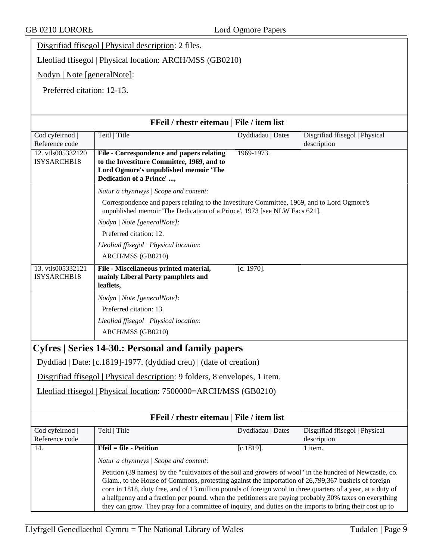Disgrifiad ffisegol | Physical description: 2 files.

Lleoliad ffisegol | Physical location: ARCH/MSS (GB0210)

Nodyn | Note [generalNote]:

Preferred citation: 12-13.

<span id="page-8-0"></span>

|                                   | FFeil / rhestr eitemau   File / item list                                                                                                                                                                                                                                                                                                                                                                                                                                                                                                             |                   |                                               |
|-----------------------------------|-------------------------------------------------------------------------------------------------------------------------------------------------------------------------------------------------------------------------------------------------------------------------------------------------------------------------------------------------------------------------------------------------------------------------------------------------------------------------------------------------------------------------------------------------------|-------------------|-----------------------------------------------|
| Cod cyfeirnod<br>Reference code   | Teitl   Title                                                                                                                                                                                                                                                                                                                                                                                                                                                                                                                                         | Dyddiadau   Dates | Disgrifiad ffisegol   Physical<br>description |
| 12. vtls005332120<br>ISYSARCHB18  | File - Correspondence and papers relating<br>to the Investiture Committee, 1969, and to<br>Lord Ogmore's unpublished memoir 'The<br>Dedication of a Prince' ,                                                                                                                                                                                                                                                                                                                                                                                         | 1969-1973.        |                                               |
|                                   | Natur a chynnwys / Scope and content:                                                                                                                                                                                                                                                                                                                                                                                                                                                                                                                 |                   |                                               |
|                                   | Correspondence and papers relating to the Investiture Committee, 1969, and to Lord Ogmore's<br>unpublished memoir 'The Dedication of a Prince', 1973 [see NLW Facs 621].                                                                                                                                                                                                                                                                                                                                                                              |                   |                                               |
|                                   | Nodyn   Note [generalNote]:                                                                                                                                                                                                                                                                                                                                                                                                                                                                                                                           |                   |                                               |
|                                   | Preferred citation: 12.                                                                                                                                                                                                                                                                                                                                                                                                                                                                                                                               |                   |                                               |
|                                   | Lleoliad ffisegol   Physical location:                                                                                                                                                                                                                                                                                                                                                                                                                                                                                                                |                   |                                               |
|                                   | ARCH/MSS (GB0210)                                                                                                                                                                                                                                                                                                                                                                                                                                                                                                                                     |                   |                                               |
| 13. vtls005332121<br>ISYSARCHB18  | File - Miscellaneous printed material,<br>mainly Liberal Party pamphlets and<br>leaflets,                                                                                                                                                                                                                                                                                                                                                                                                                                                             | $[c. 1970]$ .     |                                               |
|                                   | Nodyn   Note [generalNote]:                                                                                                                                                                                                                                                                                                                                                                                                                                                                                                                           |                   |                                               |
|                                   | Preferred citation: 13.                                                                                                                                                                                                                                                                                                                                                                                                                                                                                                                               |                   |                                               |
|                                   | Lleoliad ffisegol   Physical location:                                                                                                                                                                                                                                                                                                                                                                                                                                                                                                                |                   |                                               |
|                                   | ARCH/MSS (GB0210)                                                                                                                                                                                                                                                                                                                                                                                                                                                                                                                                     |                   |                                               |
|                                   | Cyfres   Series 14-30.: Personal and family papers                                                                                                                                                                                                                                                                                                                                                                                                                                                                                                    |                   |                                               |
|                                   | Dyddiad   Date: [c.1819]-1977. (dyddiad creu)   (date of creation)                                                                                                                                                                                                                                                                                                                                                                                                                                                                                    |                   |                                               |
|                                   | Disgrifiad ffisegol   Physical description: 9 folders, 8 envelopes, 1 item.                                                                                                                                                                                                                                                                                                                                                                                                                                                                           |                   |                                               |
|                                   | Lleoliad ffisegol   Physical location: 7500000=ARCH/MSS (GB0210)                                                                                                                                                                                                                                                                                                                                                                                                                                                                                      |                   |                                               |
|                                   | FFeil / rhestr eitemau   File / item list                                                                                                                                                                                                                                                                                                                                                                                                                                                                                                             |                   |                                               |
| Cod cyfeirnod  <br>Reference code | Teitl   Title                                                                                                                                                                                                                                                                                                                                                                                                                                                                                                                                         | Dyddiadau   Dates | Disgrifiad ffisegol   Physical<br>description |
| 14.                               | $Ffeil = file - Petition$                                                                                                                                                                                                                                                                                                                                                                                                                                                                                                                             | $[c.1819]$ .      | 1 item.                                       |
|                                   | Natur a chynnwys / Scope and content:                                                                                                                                                                                                                                                                                                                                                                                                                                                                                                                 |                   |                                               |
|                                   | Petition (39 names) by the "cultivators of the soil and growers of wool" in the hundred of Newcastle, co.<br>Glam., to the House of Commons, protesting against the importation of 26,799,367 bushels of foreign<br>corn in 1818, duty free, and of 13 million pounds of foreign wool in three quarters of a year, at a duty of<br>a halfpenny and a fraction per pound, when the petitioners are paying probably 30% taxes on everything<br>they can grow. They pray for a committee of inquiry, and duties on the imports to bring their cost up to |                   |                                               |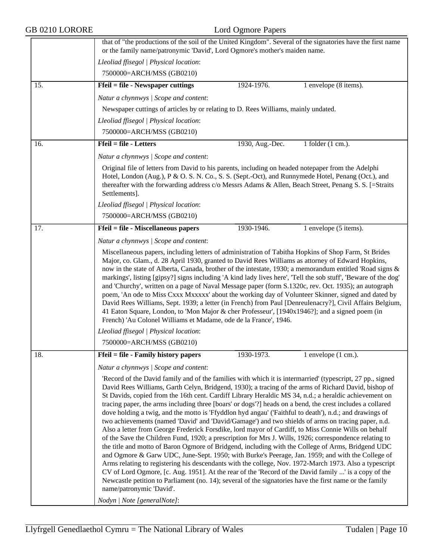| GB 0210 LORORE | Lord Ogmore Papers                                                                                                                                                                                                                                                                                                                                                                                                                                                                                                                                                                                                                                                                                                                                                                                                                                                                                                                                                                                                                                                                                                                                                                                                                                                                                                                                                                                                                                                          |  |  |
|----------------|-----------------------------------------------------------------------------------------------------------------------------------------------------------------------------------------------------------------------------------------------------------------------------------------------------------------------------------------------------------------------------------------------------------------------------------------------------------------------------------------------------------------------------------------------------------------------------------------------------------------------------------------------------------------------------------------------------------------------------------------------------------------------------------------------------------------------------------------------------------------------------------------------------------------------------------------------------------------------------------------------------------------------------------------------------------------------------------------------------------------------------------------------------------------------------------------------------------------------------------------------------------------------------------------------------------------------------------------------------------------------------------------------------------------------------------------------------------------------------|--|--|
|                | that of "the productions of the soil of the United Kingdom". Several of the signatories have the first name<br>or the family name/patronymic 'David', Lord Ogmore's mother's maiden name.                                                                                                                                                                                                                                                                                                                                                                                                                                                                                                                                                                                                                                                                                                                                                                                                                                                                                                                                                                                                                                                                                                                                                                                                                                                                                   |  |  |
|                | Lleoliad ffisegol   Physical location:<br>7500000=ARCH/MSS (GB0210)                                                                                                                                                                                                                                                                                                                                                                                                                                                                                                                                                                                                                                                                                                                                                                                                                                                                                                                                                                                                                                                                                                                                                                                                                                                                                                                                                                                                         |  |  |
| 15.            | <b>Ffeil = file - Newspaper cuttings</b><br>1924-1976.<br>1 envelope (8 items).                                                                                                                                                                                                                                                                                                                                                                                                                                                                                                                                                                                                                                                                                                                                                                                                                                                                                                                                                                                                                                                                                                                                                                                                                                                                                                                                                                                             |  |  |
|                | Natur a chynnwys / Scope and content:                                                                                                                                                                                                                                                                                                                                                                                                                                                                                                                                                                                                                                                                                                                                                                                                                                                                                                                                                                                                                                                                                                                                                                                                                                                                                                                                                                                                                                       |  |  |
|                | Newspaper cuttings of articles by or relating to D. Rees Williams, mainly undated.                                                                                                                                                                                                                                                                                                                                                                                                                                                                                                                                                                                                                                                                                                                                                                                                                                                                                                                                                                                                                                                                                                                                                                                                                                                                                                                                                                                          |  |  |
|                | Lleoliad ffisegol   Physical location:                                                                                                                                                                                                                                                                                                                                                                                                                                                                                                                                                                                                                                                                                                                                                                                                                                                                                                                                                                                                                                                                                                                                                                                                                                                                                                                                                                                                                                      |  |  |
|                | 7500000=ARCH/MSS (GB0210)                                                                                                                                                                                                                                                                                                                                                                                                                                                                                                                                                                                                                                                                                                                                                                                                                                                                                                                                                                                                                                                                                                                                                                                                                                                                                                                                                                                                                                                   |  |  |
| 16.            | <b>Ffeil = file - Letters</b><br>1930, Aug.-Dec.<br>1 folder $(1 \text{ cm.})$ .                                                                                                                                                                                                                                                                                                                                                                                                                                                                                                                                                                                                                                                                                                                                                                                                                                                                                                                                                                                                                                                                                                                                                                                                                                                                                                                                                                                            |  |  |
|                |                                                                                                                                                                                                                                                                                                                                                                                                                                                                                                                                                                                                                                                                                                                                                                                                                                                                                                                                                                                                                                                                                                                                                                                                                                                                                                                                                                                                                                                                             |  |  |
|                | Natur a chynnwys / Scope and content:                                                                                                                                                                                                                                                                                                                                                                                                                                                                                                                                                                                                                                                                                                                                                                                                                                                                                                                                                                                                                                                                                                                                                                                                                                                                                                                                                                                                                                       |  |  |
|                | Original file of letters from David to his parents, including on headed notepaper from the Adelphi<br>Hotel, London (Aug.), P & O. S. N. Co., S. S. (Sept.-Oct), and Runnymede Hotel, Penang (Oct.), and<br>thereafter with the forwarding address c/o Messrs Adams & Allen, Beach Street, Penang S. S. [=Straits<br>Settlements].                                                                                                                                                                                                                                                                                                                                                                                                                                                                                                                                                                                                                                                                                                                                                                                                                                                                                                                                                                                                                                                                                                                                          |  |  |
|                | Lleoliad ffisegol   Physical location:                                                                                                                                                                                                                                                                                                                                                                                                                                                                                                                                                                                                                                                                                                                                                                                                                                                                                                                                                                                                                                                                                                                                                                                                                                                                                                                                                                                                                                      |  |  |
|                | 7500000=ARCH/MSS (GB0210)                                                                                                                                                                                                                                                                                                                                                                                                                                                                                                                                                                                                                                                                                                                                                                                                                                                                                                                                                                                                                                                                                                                                                                                                                                                                                                                                                                                                                                                   |  |  |
| 17.            | Ffeil = file - Miscellaneous papers<br>1930-1946.<br>1 envelope (5 items).                                                                                                                                                                                                                                                                                                                                                                                                                                                                                                                                                                                                                                                                                                                                                                                                                                                                                                                                                                                                                                                                                                                                                                                                                                                                                                                                                                                                  |  |  |
|                | Natur a chynnwys / Scope and content:                                                                                                                                                                                                                                                                                                                                                                                                                                                                                                                                                                                                                                                                                                                                                                                                                                                                                                                                                                                                                                                                                                                                                                                                                                                                                                                                                                                                                                       |  |  |
|                | Miscellaneous papers, including letters of administration of Tabitha Hopkins of Shop Farm, St Brides<br>Major, co. Glam., d. 28 April 1930, granted to David Rees Williams as attorney of Edward Hopkins,<br>now in the state of Alberta, Canada, brother of the intestate, 1930; a memorandum entitled 'Road signs &<br>markings', listing [gipsy?] signs including 'A kind lady lives here', 'Tell the sob stuff', 'Beware of the dog'<br>and 'Churchy', written on a page of Naval Message paper (form S.1320c, rev. Oct. 1935); an autograph<br>poem, 'An ode to Miss Cxxx Mxxxxx' about the working day of Volunteer Skinner, signed and dated by<br>David Rees Williams, Sept. 1939; a letter (in French) from Paul [Denreulenacry?], Civil Affairs Belgium,<br>41 Eaton Square, London, to 'Mon Major & cher Professeur', [1940x1946?]; and a signed poem (in<br>French) 'Au Colonel Williams et Madame, ode de la France', 1946.                                                                                                                                                                                                                                                                                                                                                                                                                                                                                                                                    |  |  |
|                | Lleoliad ffisegol   Physical location:                                                                                                                                                                                                                                                                                                                                                                                                                                                                                                                                                                                                                                                                                                                                                                                                                                                                                                                                                                                                                                                                                                                                                                                                                                                                                                                                                                                                                                      |  |  |
|                | 7500000=ARCH/MSS (GB0210)                                                                                                                                                                                                                                                                                                                                                                                                                                                                                                                                                                                                                                                                                                                                                                                                                                                                                                                                                                                                                                                                                                                                                                                                                                                                                                                                                                                                                                                   |  |  |
| 18.            | Ffeil = file - Family history papers<br>1930-1973.<br>1 envelope $(1 \text{ cm.})$ .                                                                                                                                                                                                                                                                                                                                                                                                                                                                                                                                                                                                                                                                                                                                                                                                                                                                                                                                                                                                                                                                                                                                                                                                                                                                                                                                                                                        |  |  |
|                | Natur a chynnwys / Scope and content:                                                                                                                                                                                                                                                                                                                                                                                                                                                                                                                                                                                                                                                                                                                                                                                                                                                                                                                                                                                                                                                                                                                                                                                                                                                                                                                                                                                                                                       |  |  |
|                | 'Record of the David family and of the families with which it is intermarried' (typescript, 27 pp., signed<br>David Rees Williams, Garth Celyn, Bridgend, 1930); a tracing of the arms of Richard David, bishop of<br>St Davids, copied from the 16th cent. Cardiff Library Heraldic MS 34, n.d.; a heraldic achievement on<br>tracing paper, the arms including three [boars' or dogs'?] heads on a bend, the crest includes a collared<br>dove holding a twig, and the motto is 'Ffyddlon hyd angau' ('Faithful to death'), n.d.; and drawings of<br>two achievements (named 'David' and 'David/Gamage') and two shields of arms on tracing paper, n.d.<br>Also a letter from George Frederick Forsdike, lord mayor of Cardiff, to Miss Connie Wills on behalf<br>of the Save the Children Fund, 1920; a prescription for Mrs J. Wills, 1926; correspondence relating to<br>the title and motto of Baron Ogmore of Bridgend, including with the College of Arms, Bridgend UDC<br>and Ogmore & Garw UDC, June-Sept. 1950; with Burke's Peerage, Jan. 1959; and with the College of<br>Arms relating to registering his descendants with the college, Nov. 1972-March 1973. Also a typescript<br>CV of Lord Ogmore, [c. Aug. 1951]. At the rear of the 'Record of the David family ' is a copy of the<br>Newcastle petition to Parliament (no. 14); several of the signatories have the first name or the family<br>name/patronymic 'David'.<br>Nodyn   Note [generalNote]: |  |  |
|                |                                                                                                                                                                                                                                                                                                                                                                                                                                                                                                                                                                                                                                                                                                                                                                                                                                                                                                                                                                                                                                                                                                                                                                                                                                                                                                                                                                                                                                                                             |  |  |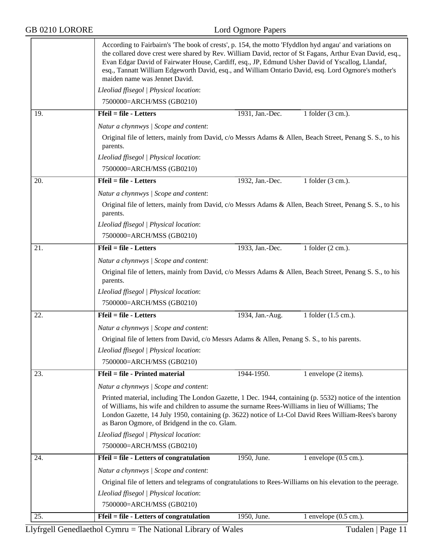## GB 0210 LORORE Lord Ogmore Papers

|     | According to Fairbairn's 'The book of crests', p. 154, the motto 'Ffyddlon hyd angau' and variations on<br>the collared dove crest were shared by Rev. William David, rector of St Fagans, Arthur Evan David, esq.,<br>Evan Edgar David of Fairwater House, Cardiff, esq., JP, Edmund Usher David of Yscallog, Llandaf,<br>esq., Tannatt William Edgeworth David, esq., and William Ontario David, esq. Lord Ogmore's mother's<br>maiden name was Jennet David. |                                                                                                             |                                  |  |  |
|-----|-----------------------------------------------------------------------------------------------------------------------------------------------------------------------------------------------------------------------------------------------------------------------------------------------------------------------------------------------------------------------------------------------------------------------------------------------------------------|-------------------------------------------------------------------------------------------------------------|----------------------------------|--|--|
|     | Lleoliad ffisegol   Physical location:                                                                                                                                                                                                                                                                                                                                                                                                                          |                                                                                                             |                                  |  |  |
|     | 7500000=ARCH/MSS (GB0210)                                                                                                                                                                                                                                                                                                                                                                                                                                       |                                                                                                             |                                  |  |  |
| 19. | $Ffeil = file - Letters$                                                                                                                                                                                                                                                                                                                                                                                                                                        | 1931, Jan.-Dec.                                                                                             | 1 folder (3 cm.).                |  |  |
|     | Natur a chynnwys / Scope and content:                                                                                                                                                                                                                                                                                                                                                                                                                           |                                                                                                             |                                  |  |  |
|     | Original file of letters, mainly from David, c/o Messrs Adams & Allen, Beach Street, Penang S. S., to his<br>parents.                                                                                                                                                                                                                                                                                                                                           |                                                                                                             |                                  |  |  |
|     | Lleoliad ffisegol   Physical location:                                                                                                                                                                                                                                                                                                                                                                                                                          |                                                                                                             |                                  |  |  |
|     | 7500000=ARCH/MSS (GB0210)                                                                                                                                                                                                                                                                                                                                                                                                                                       |                                                                                                             |                                  |  |  |
| 20. | Ffeil = file - Letters                                                                                                                                                                                                                                                                                                                                                                                                                                          | 1932, Jan.-Dec.                                                                                             | 1 folder $(3 \text{ cm.})$ .     |  |  |
|     | Natur a chynnwys / Scope and content:                                                                                                                                                                                                                                                                                                                                                                                                                           |                                                                                                             |                                  |  |  |
|     | Original file of letters, mainly from David, c/o Messrs Adams & Allen, Beach Street, Penang S. S., to his<br>parents.                                                                                                                                                                                                                                                                                                                                           |                                                                                                             |                                  |  |  |
|     | Lleoliad ffisegol   Physical location:                                                                                                                                                                                                                                                                                                                                                                                                                          |                                                                                                             |                                  |  |  |
|     | 7500000=ARCH/MSS (GB0210)                                                                                                                                                                                                                                                                                                                                                                                                                                       |                                                                                                             |                                  |  |  |
| 21. | Ffeil = file - Letters                                                                                                                                                                                                                                                                                                                                                                                                                                          | 1933, Jan.-Dec.                                                                                             | 1 folder (2 cm.).                |  |  |
|     | Natur a chynnwys / Scope and content:                                                                                                                                                                                                                                                                                                                                                                                                                           |                                                                                                             |                                  |  |  |
|     | Original file of letters, mainly from David, c/o Messrs Adams & Allen, Beach Street, Penang S. S., to his<br>parents.                                                                                                                                                                                                                                                                                                                                           |                                                                                                             |                                  |  |  |
|     | Lleoliad ffisegol   Physical location:                                                                                                                                                                                                                                                                                                                                                                                                                          |                                                                                                             |                                  |  |  |
|     | 7500000=ARCH/MSS (GB0210)                                                                                                                                                                                                                                                                                                                                                                                                                                       |                                                                                                             |                                  |  |  |
| 22. | $Ffeil = file - Letters$                                                                                                                                                                                                                                                                                                                                                                                                                                        | 1934, Jan.-Aug.                                                                                             | 1 folder (1.5 cm.).              |  |  |
|     | Natur a chynnwys / Scope and content:                                                                                                                                                                                                                                                                                                                                                                                                                           |                                                                                                             |                                  |  |  |
|     | Original file of letters from David, c/o Messrs Adams & Allen, Penang S. S., to his parents.                                                                                                                                                                                                                                                                                                                                                                    |                                                                                                             |                                  |  |  |
|     | Lleoliad ffisegol   Physical location:                                                                                                                                                                                                                                                                                                                                                                                                                          |                                                                                                             |                                  |  |  |
|     | 7500000=ARCH/MSS (GB0210)                                                                                                                                                                                                                                                                                                                                                                                                                                       |                                                                                                             |                                  |  |  |
| 23. | Ffeil = file - Printed material                                                                                                                                                                                                                                                                                                                                                                                                                                 | 1944-1950.                                                                                                  | 1 envelope (2 items).            |  |  |
|     | Natur a chynnwys / Scope and content:                                                                                                                                                                                                                                                                                                                                                                                                                           |                                                                                                             |                                  |  |  |
|     |                                                                                                                                                                                                                                                                                                                                                                                                                                                                 |                                                                                                             |                                  |  |  |
|     | Printed material, including The London Gazette, 1 Dec. 1944, containing (p. 5532) notice of the intention<br>of Williams, his wife and children to assume the surname Rees-Williams in lieu of Williams; The<br>London Gazette, 14 July 1950, containing (p. 3622) notice of Lt-Col David Rees William-Rees's barony<br>as Baron Ogmore, of Bridgend in the co. Glam.                                                                                           |                                                                                                             |                                  |  |  |
|     | Lleoliad ffisegol   Physical location:                                                                                                                                                                                                                                                                                                                                                                                                                          |                                                                                                             |                                  |  |  |
|     | 7500000=ARCH/MSS (GB0210)                                                                                                                                                                                                                                                                                                                                                                                                                                       |                                                                                                             |                                  |  |  |
| 24. | Ffeil = file - Letters of congratulation                                                                                                                                                                                                                                                                                                                                                                                                                        | 1950, June.                                                                                                 | 1 envelope $(0.5 \text{ cm.})$ . |  |  |
|     | Natur a chynnwys / Scope and content:                                                                                                                                                                                                                                                                                                                                                                                                                           |                                                                                                             |                                  |  |  |
|     |                                                                                                                                                                                                                                                                                                                                                                                                                                                                 | Original file of letters and telegrams of congratulations to Rees-Williams on his elevation to the peerage. |                                  |  |  |
|     | Lleoliad ffisegol   Physical location:                                                                                                                                                                                                                                                                                                                                                                                                                          |                                                                                                             |                                  |  |  |
|     | 7500000=ARCH/MSS (GB0210)                                                                                                                                                                                                                                                                                                                                                                                                                                       |                                                                                                             |                                  |  |  |
| 25. | Ffeil = file - Letters of congratulation                                                                                                                                                                                                                                                                                                                                                                                                                        | 1950, June.                                                                                                 | 1 envelope $(0.5 \text{ cm.})$ . |  |  |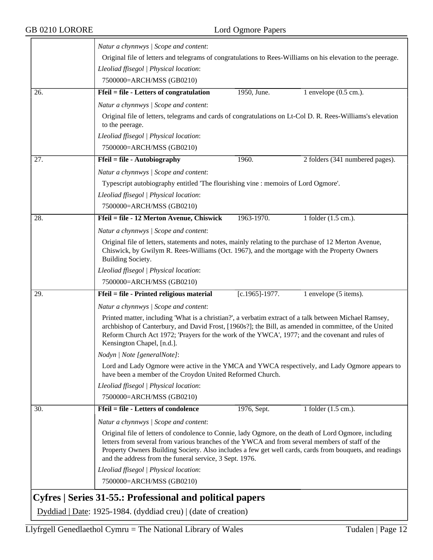$\overline{\phantom{a}}$ 

|     | Natur a chynnwys / Scope and content:                                                                                                                                                                                                                                                                                                                                          |                                                                                                                                                             |                                  |  |  |
|-----|--------------------------------------------------------------------------------------------------------------------------------------------------------------------------------------------------------------------------------------------------------------------------------------------------------------------------------------------------------------------------------|-------------------------------------------------------------------------------------------------------------------------------------------------------------|----------------------------------|--|--|
|     | Original file of letters and telegrams of congratulations to Rees-Williams on his elevation to the peerage.                                                                                                                                                                                                                                                                    |                                                                                                                                                             |                                  |  |  |
|     | Lleoliad ffisegol   Physical location:                                                                                                                                                                                                                                                                                                                                         |                                                                                                                                                             |                                  |  |  |
|     | 7500000=ARCH/MSS (GB0210)                                                                                                                                                                                                                                                                                                                                                      |                                                                                                                                                             |                                  |  |  |
| 26. | Ffeil = file - Letters of congratulation                                                                                                                                                                                                                                                                                                                                       | 1950, June.                                                                                                                                                 | 1 envelope $(0.5 \text{ cm.})$ . |  |  |
|     | Natur a chynnwys / Scope and content:                                                                                                                                                                                                                                                                                                                                          |                                                                                                                                                             |                                  |  |  |
|     | Original file of letters, telegrams and cards of congratulations on Lt-Col D. R. Rees-Williams's elevation<br>to the peerage.                                                                                                                                                                                                                                                  |                                                                                                                                                             |                                  |  |  |
|     | Lleoliad ffisegol   Physical location:                                                                                                                                                                                                                                                                                                                                         |                                                                                                                                                             |                                  |  |  |
|     | 7500000=ARCH/MSS (GB0210)                                                                                                                                                                                                                                                                                                                                                      |                                                                                                                                                             |                                  |  |  |
| 27. | Ffeil = file - Autobiography                                                                                                                                                                                                                                                                                                                                                   | 1960.                                                                                                                                                       | 2 folders (341 numbered pages).  |  |  |
|     | Natur a chynnwys / Scope and content:                                                                                                                                                                                                                                                                                                                                          |                                                                                                                                                             |                                  |  |  |
|     | Typescript autobiography entitled 'The flourishing vine : memoirs of Lord Ogmore'.                                                                                                                                                                                                                                                                                             |                                                                                                                                                             |                                  |  |  |
|     | Lleoliad ffisegol   Physical location:                                                                                                                                                                                                                                                                                                                                         |                                                                                                                                                             |                                  |  |  |
|     | 7500000=ARCH/MSS (GB0210)                                                                                                                                                                                                                                                                                                                                                      |                                                                                                                                                             |                                  |  |  |
| 28. | Ffeil = file - 12 Merton Avenue, Chiswick                                                                                                                                                                                                                                                                                                                                      | 1963-1970.                                                                                                                                                  | 1 folder (1.5 cm.).              |  |  |
|     | Natur a chynnwys / Scope and content:                                                                                                                                                                                                                                                                                                                                          |                                                                                                                                                             |                                  |  |  |
|     | Original file of letters, statements and notes, mainly relating to the purchase of 12 Merton Avenue,<br>Chiswick, by Gwilym R. Rees-Williams (Oct. 1967), and the mortgage with the Property Owners<br>Building Society.                                                                                                                                                       |                                                                                                                                                             |                                  |  |  |
|     | Lleoliad ffisegol   Physical location:                                                                                                                                                                                                                                                                                                                                         |                                                                                                                                                             |                                  |  |  |
|     | 7500000=ARCH/MSS (GB0210)                                                                                                                                                                                                                                                                                                                                                      |                                                                                                                                                             |                                  |  |  |
| 29. | Ffeil = file - Printed religious material                                                                                                                                                                                                                                                                                                                                      | $[c.1965] - 1977.$                                                                                                                                          | 1 envelope (5 items).            |  |  |
|     | Natur a chynnwys / Scope and content:                                                                                                                                                                                                                                                                                                                                          |                                                                                                                                                             |                                  |  |  |
|     | Printed matter, including 'What is a christian?', a verbatim extract of a talk between Michael Ramsey,<br>archbishop of Canterbury, and David Frost, [1960s?]; the Bill, as amended in committee, of the United<br>Reform Church Act 1972; 'Prayers for the work of the YWCA', 1977; and the covenant and rules of<br>Kensington Chapel, [n.d.].                               |                                                                                                                                                             |                                  |  |  |
|     | Nodyn   Note [generalNote]:                                                                                                                                                                                                                                                                                                                                                    |                                                                                                                                                             |                                  |  |  |
|     |                                                                                                                                                                                                                                                                                                                                                                                | Lord and Lady Ogmore were active in the YMCA and YWCA respectively, and Lady Ogmore appears to<br>have been a member of the Croydon United Reformed Church. |                                  |  |  |
|     | Lleoliad ffisegol   Physical location:                                                                                                                                                                                                                                                                                                                                         |                                                                                                                                                             |                                  |  |  |
|     | 7500000=ARCH/MSS (GB0210)                                                                                                                                                                                                                                                                                                                                                      |                                                                                                                                                             |                                  |  |  |
| 30. | Ffeil = file - Letters of condolence                                                                                                                                                                                                                                                                                                                                           | 1976, Sept.                                                                                                                                                 | 1 folder (1.5 cm.).              |  |  |
|     | Natur a chynnwys / Scope and content:                                                                                                                                                                                                                                                                                                                                          |                                                                                                                                                             |                                  |  |  |
|     | Original file of letters of condolence to Connie, lady Ogmore, on the death of Lord Ogmore, including<br>letters from several from various branches of the YWCA and from several members of staff of the<br>Property Owners Building Society. Also includes a few get well cards, cards from bouquets, and readings<br>and the address from the funeral service, 3 Sept. 1976. |                                                                                                                                                             |                                  |  |  |
|     | Lleoliad ffisegol   Physical location:                                                                                                                                                                                                                                                                                                                                         |                                                                                                                                                             |                                  |  |  |
|     |                                                                                                                                                                                                                                                                                                                                                                                |                                                                                                                                                             |                                  |  |  |

<span id="page-11-0"></span>Dyddiad | Date: 1925-1984. (dyddiad creu) | (date of creation)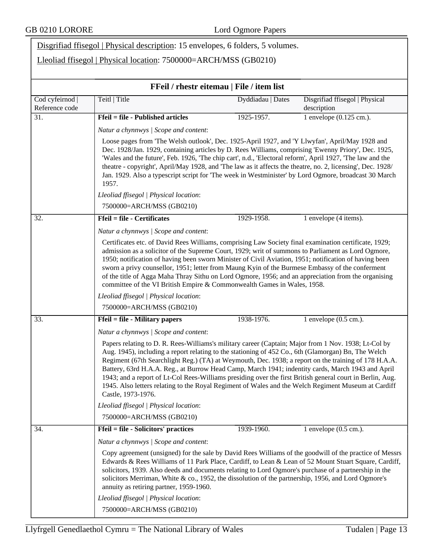|                                 | Disgrifiad ffisegol   Physical description: 15 envelopes, 6 folders, 5 volumes.                                                                                                                                                                                                                                                                                                                                                                                                                                                                                                                                                                                    |                   |                                               |  |
|---------------------------------|--------------------------------------------------------------------------------------------------------------------------------------------------------------------------------------------------------------------------------------------------------------------------------------------------------------------------------------------------------------------------------------------------------------------------------------------------------------------------------------------------------------------------------------------------------------------------------------------------------------------------------------------------------------------|-------------------|-----------------------------------------------|--|
|                                 | Lleoliad ffisegol   Physical location: 7500000=ARCH/MSS (GB0210)                                                                                                                                                                                                                                                                                                                                                                                                                                                                                                                                                                                                   |                   |                                               |  |
|                                 |                                                                                                                                                                                                                                                                                                                                                                                                                                                                                                                                                                                                                                                                    |                   |                                               |  |
|                                 | FFeil / rhestr eitemau   File / item list                                                                                                                                                                                                                                                                                                                                                                                                                                                                                                                                                                                                                          |                   |                                               |  |
| Cod cyfeirnod<br>Reference code | Teitl   Title                                                                                                                                                                                                                                                                                                                                                                                                                                                                                                                                                                                                                                                      | Dyddiadau   Dates | Disgrifiad ffisegol   Physical<br>description |  |
| 31.                             | <b>Ffeil = file - Published articles</b>                                                                                                                                                                                                                                                                                                                                                                                                                                                                                                                                                                                                                           | 1925-1957.        | $\overline{1}$ envelope (0.125 cm.).          |  |
|                                 | Natur a chynnwys / Scope and content:                                                                                                                                                                                                                                                                                                                                                                                                                                                                                                                                                                                                                              |                   |                                               |  |
|                                 | Loose pages from 'The Welsh outlook', Dec. 1925-April 1927, and 'Y Llwyfan', April/May 1928 and<br>Dec. 1928/Jan. 1929, containing articles by D. Rees Williams, comprising 'Ewenny Priory', Dec. 1925,<br>'Wales and the future', Feb. 1926, 'The chip cart', n.d., 'Electoral reform', April 1927, 'The law and the<br>theatre - copyright', April/May 1928, and 'The law as it affects the theatre, no. 2, licensing', Dec. 1928/<br>Jan. 1929. Also a typescript script for 'The week in Westminister' by Lord Ogmore, broadcast 30 March<br>1957.                                                                                                             |                   |                                               |  |
|                                 | Lleoliad ffisegol   Physical location:                                                                                                                                                                                                                                                                                                                                                                                                                                                                                                                                                                                                                             |                   |                                               |  |
|                                 | 7500000=ARCH/MSS (GB0210)                                                                                                                                                                                                                                                                                                                                                                                                                                                                                                                                                                                                                                          |                   |                                               |  |
| 32.                             | <b>Ffeil = file - Certificates</b>                                                                                                                                                                                                                                                                                                                                                                                                                                                                                                                                                                                                                                 | 1929-1958.        | 1 envelope (4 items).                         |  |
|                                 | Natur a chynnwys / Scope and content:                                                                                                                                                                                                                                                                                                                                                                                                                                                                                                                                                                                                                              |                   |                                               |  |
|                                 | Certificates etc. of David Rees Williams, comprising Law Society final examination certificate, 1929;<br>admission as a solicitor of the Supreme Court, 1929; writ of summons to Parliament as Lord Ogmore,<br>1950; notification of having been sworn Minister of Civil Aviation, 1951; notification of having been<br>sworn a privy counsellor, 1951; letter from Maung Kyin of the Burmese Embassy of the conferment<br>of the title of Agga Maha Thray Sithu on Lord Ogmore, 1956; and an appreciation from the organising<br>committee of the VI British Empire & Commonwealth Games in Wales, 1958.                                                          |                   |                                               |  |
|                                 | Lleoliad ffisegol   Physical location:                                                                                                                                                                                                                                                                                                                                                                                                                                                                                                                                                                                                                             |                   |                                               |  |
|                                 | 7500000=ARCH/MSS (GB0210)                                                                                                                                                                                                                                                                                                                                                                                                                                                                                                                                                                                                                                          |                   |                                               |  |
| 33.                             | <b>Ffeil = file - Military papers</b>                                                                                                                                                                                                                                                                                                                                                                                                                                                                                                                                                                                                                              | 1938-1976.        | 1 envelope $(0.5 \text{ cm.})$ .              |  |
|                                 | Natur a chynnwys / Scope and content:                                                                                                                                                                                                                                                                                                                                                                                                                                                                                                                                                                                                                              |                   |                                               |  |
|                                 | Papers relating to D. R. Rees-Williams's military career (Captain; Major from 1 Nov. 1938; Lt-Col by<br>Aug. 1945), including a report relating to the stationing of 452 Co., 6th (Glamorgan) Bn, The Welch<br>Regiment (67th Searchlight Reg.) (TA) at Weymouth, Dec. 1938; a report on the training of 178 H.A.A.<br>Battery, 63rd H.A.A. Reg., at Burrow Head Camp, March 1941; indentity cards, March 1943 and April<br>1943; and a report of Lt-Col Rees-Williams presiding over the first British general court in Berlin, Aug.<br>1945. Also letters relating to the Royal Regiment of Wales and the Welch Regiment Museum at Cardiff<br>Castle, 1973-1976. |                   |                                               |  |
|                                 | Lleoliad ffisegol   Physical location:                                                                                                                                                                                                                                                                                                                                                                                                                                                                                                                                                                                                                             |                   |                                               |  |
|                                 | 7500000=ARCH/MSS (GB0210)                                                                                                                                                                                                                                                                                                                                                                                                                                                                                                                                                                                                                                          |                   |                                               |  |
| 34.                             | <b>Ffeil = file - Solicitors' practices</b>                                                                                                                                                                                                                                                                                                                                                                                                                                                                                                                                                                                                                        | 1939-1960.        | 1 envelope $(0.5 \text{ cm.})$ .              |  |
|                                 | Natur a chynnwys / Scope and content:                                                                                                                                                                                                                                                                                                                                                                                                                                                                                                                                                                                                                              |                   |                                               |  |
|                                 | Copy agreement (unsigned) for the sale by David Rees Williams of the goodwill of the practice of Messrs<br>Edwards & Rees Williams of 11 Park Place, Cardiff, to Lean & Lean of 52 Mount Stuart Square, Cardiff,<br>solicitors, 1939. Also deeds and documents relating to Lord Ogmore's purchase of a partnership in the<br>solicitors Merriman, White & co., 1952, the dissolution of the partnership, 1956, and Lord Ogmore's<br>annuity as retiring partner, 1959-1960.                                                                                                                                                                                        |                   |                                               |  |
|                                 | Lleoliad ffisegol   Physical location:                                                                                                                                                                                                                                                                                                                                                                                                                                                                                                                                                                                                                             |                   |                                               |  |
|                                 | 7500000=ARCH/MSS (GB0210)                                                                                                                                                                                                                                                                                                                                                                                                                                                                                                                                                                                                                                          |                   |                                               |  |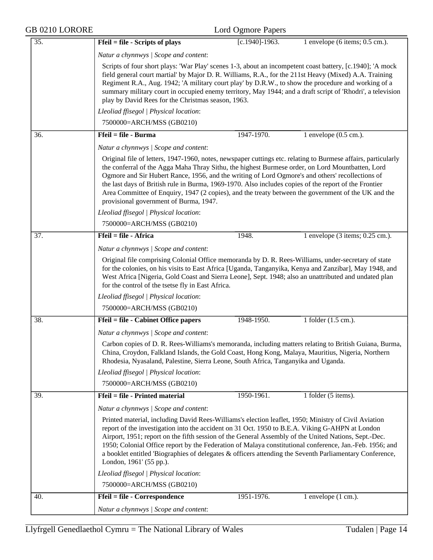| GB 0210 LORORE |                                                                                                                                                                                                                                                                                                                                                                                                                                                                                                                                                                                 | Lord Ogmore Papers |                                   |
|----------------|---------------------------------------------------------------------------------------------------------------------------------------------------------------------------------------------------------------------------------------------------------------------------------------------------------------------------------------------------------------------------------------------------------------------------------------------------------------------------------------------------------------------------------------------------------------------------------|--------------------|-----------------------------------|
| 35.            | $Ffeil = file - Scripts of plays$                                                                                                                                                                                                                                                                                                                                                                                                                                                                                                                                               | $[c.1940] - 1963.$ | 1 envelope (6 items; $0.5$ cm.).  |
|                | Natur a chynnwys   Scope and content:                                                                                                                                                                                                                                                                                                                                                                                                                                                                                                                                           |                    |                                   |
|                | Scripts of four short plays: 'War Play' scenes 1-3, about an incompetent coast battery, [c.1940]; 'A mock<br>field general court martial' by Major D. R. Williams, R.A., for the 211st Heavy (Mixed) A.A. Training<br>Regiment R.A., Aug. 1942; 'A military court play' by D.R.W., to show the procedure and working of a<br>summary military court in occupied enemy territory, May 1944; and a draft script of 'Rhodri', a television<br>play by David Rees for the Christmas season, 1963.                                                                                   |                    |                                   |
|                | Lleoliad ffisegol   Physical location:                                                                                                                                                                                                                                                                                                                                                                                                                                                                                                                                          |                    |                                   |
|                | 7500000=ARCH/MSS (GB0210)                                                                                                                                                                                                                                                                                                                                                                                                                                                                                                                                                       |                    |                                   |
| 36.            | $Ffeil = file - Burma$                                                                                                                                                                                                                                                                                                                                                                                                                                                                                                                                                          | 1947-1970.         | 1 envelope $(0.5 \text{ cm.})$ .  |
|                | Natur a chynnwys   Scope and content:                                                                                                                                                                                                                                                                                                                                                                                                                                                                                                                                           |                    |                                   |
|                | Original file of letters, 1947-1960, notes, newspaper cuttings etc. relating to Burmese affairs, particularly<br>the conferral of the Agga Maha Thray Sithu, the highest Burmese order, on Lord Mountbatten, Lord<br>Ogmore and Sir Hubert Rance, 1956, and the writing of Lord Ogmore's and others' recollections of<br>the last days of British rule in Burma, 1969-1970. Also includes copies of the report of the Frontier<br>Area Committee of Enquiry, 1947 (2 copies), and the treaty between the government of the UK and the<br>provisional government of Burma, 1947. |                    |                                   |
|                | Lleoliad ffisegol   Physical location:                                                                                                                                                                                                                                                                                                                                                                                                                                                                                                                                          |                    |                                   |
|                | 7500000=ARCH/MSS (GB0210)                                                                                                                                                                                                                                                                                                                                                                                                                                                                                                                                                       |                    |                                   |
| 37.            | Ffeil = file - Africa                                                                                                                                                                                                                                                                                                                                                                                                                                                                                                                                                           | 1948.              | 1 envelope $(3$ items; 0.25 cm.). |
|                | Natur a chynnwys / Scope and content:                                                                                                                                                                                                                                                                                                                                                                                                                                                                                                                                           |                    |                                   |
|                | Original file comprising Colonial Office memoranda by D. R. Rees-Williams, under-secretary of state<br>for the colonies, on his visits to East Africa [Uganda, Tanganyika, Kenya and Zanzibar], May 1948, and<br>West Africa [Nigeria, Gold Coast and Sierra Leone], Sept. 1948; also an unattributed and undated plan<br>for the control of the tsetse fly in East Africa.                                                                                                                                                                                                     |                    |                                   |
|                | Lleoliad ffisegol   Physical location:                                                                                                                                                                                                                                                                                                                                                                                                                                                                                                                                          |                    |                                   |
|                | 7500000=ARCH/MSS (GB0210)                                                                                                                                                                                                                                                                                                                                                                                                                                                                                                                                                       |                    |                                   |
| 38.            | <b>Ffeil = file - Cabinet Office papers</b>                                                                                                                                                                                                                                                                                                                                                                                                                                                                                                                                     | 1948-1950.         | 1 folder (1.5 cm.).               |
|                | Natur a chynnwys / Scope and content:                                                                                                                                                                                                                                                                                                                                                                                                                                                                                                                                           |                    |                                   |
|                | Carbon copies of D. R. Rees-Williams's memoranda, including matters relating to British Guiana, Burma,<br>China, Croydon, Falkland Islands, the Gold Coast, Hong Kong, Malaya, Mauritius, Nigeria, Northern<br>Rhodesia, Nyasaland, Palestine, Sierra Leone, South Africa, Tanganyika and Uganda.                                                                                                                                                                                                                                                                               |                    |                                   |
|                | Lleoliad ffisegol   Physical location:                                                                                                                                                                                                                                                                                                                                                                                                                                                                                                                                          |                    |                                   |
|                | 7500000=ARCH/MSS (GB0210)                                                                                                                                                                                                                                                                                                                                                                                                                                                                                                                                                       |                    |                                   |
| 39.            | Ffeil = file - Printed material                                                                                                                                                                                                                                                                                                                                                                                                                                                                                                                                                 | 1950-1961.         | 1 folder (5 items).               |
|                | Natur a chynnwys / Scope and content:                                                                                                                                                                                                                                                                                                                                                                                                                                                                                                                                           |                    |                                   |
|                | Printed material, including David Rees-Williams's election leaflet, 1950; Ministry of Civil Aviation<br>report of the investigation into the accident on 31 Oct. 1950 to B.E.A. Viking G-AHPN at London<br>Airport, 1951; report on the fifth session of the General Assembly of the United Nations, Sept.-Dec.<br>1950; Colonial Office report by the Federation of Malaya constitutional conference, Jan.-Feb. 1956; and<br>a booklet entitled 'Biographies of delegates & officers attending the Seventh Parliamentary Conference,<br>London, 1961' (55 pp.).                |                    |                                   |
|                | Lleoliad ffisegol   Physical location:                                                                                                                                                                                                                                                                                                                                                                                                                                                                                                                                          |                    |                                   |
|                | 7500000=ARCH/MSS (GB0210)                                                                                                                                                                                                                                                                                                                                                                                                                                                                                                                                                       |                    |                                   |
| 40.            | Ffeil = file - Correspondence                                                                                                                                                                                                                                                                                                                                                                                                                                                                                                                                                   | 1951-1976.         | 1 envelope $(1 \text{ cm.})$ .    |
|                | Natur a chynnwys / Scope and content:                                                                                                                                                                                                                                                                                                                                                                                                                                                                                                                                           |                    |                                   |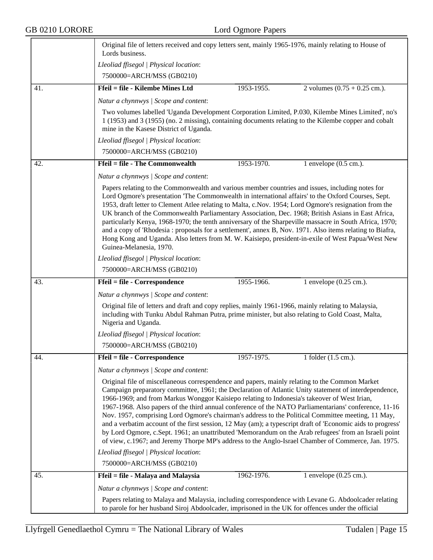## GB 0210 LORORE Lord Ogmore Papers

|     | Original file of letters received and copy letters sent, mainly 1965-1976, mainly relating to House of<br>Lords business.                                                                                                                                                                                                                                                                                                                                                                                                                                                                                                                                                                                                                                                                                                                            |  |  |  |
|-----|------------------------------------------------------------------------------------------------------------------------------------------------------------------------------------------------------------------------------------------------------------------------------------------------------------------------------------------------------------------------------------------------------------------------------------------------------------------------------------------------------------------------------------------------------------------------------------------------------------------------------------------------------------------------------------------------------------------------------------------------------------------------------------------------------------------------------------------------------|--|--|--|
|     | Lleoliad ffisegol   Physical location:                                                                                                                                                                                                                                                                                                                                                                                                                                                                                                                                                                                                                                                                                                                                                                                                               |  |  |  |
|     | 7500000=ARCH/MSS (GB0210)                                                                                                                                                                                                                                                                                                                                                                                                                                                                                                                                                                                                                                                                                                                                                                                                                            |  |  |  |
| 41. | <b>Ffeil = file - Kilembe Mines Ltd</b><br>1953-1955.<br>2 volumes $(0.75 + 0.25$ cm.).                                                                                                                                                                                                                                                                                                                                                                                                                                                                                                                                                                                                                                                                                                                                                              |  |  |  |
|     | Natur a chynnwys / Scope and content:                                                                                                                                                                                                                                                                                                                                                                                                                                                                                                                                                                                                                                                                                                                                                                                                                |  |  |  |
|     | Two volumes labelled 'Uganda Development Corporation Limited, P.030, Kilembe Mines Limited', no's<br>1 (1953) and 3 (1955) (no. 2 missing), containing documents relating to the Kilembe copper and cobalt<br>mine in the Kasese District of Uganda.                                                                                                                                                                                                                                                                                                                                                                                                                                                                                                                                                                                                 |  |  |  |
|     | Lleoliad ffisegol   Physical location:                                                                                                                                                                                                                                                                                                                                                                                                                                                                                                                                                                                                                                                                                                                                                                                                               |  |  |  |
|     | 7500000=ARCH/MSS (GB0210)                                                                                                                                                                                                                                                                                                                                                                                                                                                                                                                                                                                                                                                                                                                                                                                                                            |  |  |  |
| 42. | <b>Ffeil = file - The Commonwealth</b><br>1953-1970.<br>1 envelope $(0.5 \text{ cm.})$ .                                                                                                                                                                                                                                                                                                                                                                                                                                                                                                                                                                                                                                                                                                                                                             |  |  |  |
|     | Natur a chynnwys / Scope and content:                                                                                                                                                                                                                                                                                                                                                                                                                                                                                                                                                                                                                                                                                                                                                                                                                |  |  |  |
|     | Papers relating to the Commonwealth and various member countries and issues, including notes for<br>Lord Ogmore's presentation 'The Commonwealth in international affairs' to the Oxford Courses, Sept.<br>1953, draft letter to Clement Atlee relating to Malta, c.Nov. 1954; Lord Ogmore's resignation from the<br>UK branch of the Commonwealth Parliamentary Association, Dec. 1968; British Asians in East Africa,<br>particularly Kenya, 1968-1970; the tenth anniversary of the Sharpeville massacre in South Africa, 1970;<br>and a copy of 'Rhodesia: proposals for a settlement', annex B, Nov. 1971. Also items relating to Biafra,<br>Hong Kong and Uganda. Also letters from M. W. Kaisiepo, president-in-exile of West Papua/West New<br>Guinea-Melanesia, 1970.                                                                       |  |  |  |
|     | Lleoliad ffisegol   Physical location:                                                                                                                                                                                                                                                                                                                                                                                                                                                                                                                                                                                                                                                                                                                                                                                                               |  |  |  |
|     | 7500000=ARCH/MSS (GB0210)                                                                                                                                                                                                                                                                                                                                                                                                                                                                                                                                                                                                                                                                                                                                                                                                                            |  |  |  |
| 43. | <b>Ffeil = file - Correspondence</b><br>1955-1966.<br>1 envelope $(0.25 \text{ cm.})$ .                                                                                                                                                                                                                                                                                                                                                                                                                                                                                                                                                                                                                                                                                                                                                              |  |  |  |
|     | Natur a chynnwys / Scope and content:                                                                                                                                                                                                                                                                                                                                                                                                                                                                                                                                                                                                                                                                                                                                                                                                                |  |  |  |
|     | Original file of letters and draft and copy replies, mainly 1961-1966, mainly relating to Malaysia,<br>including with Tunku Abdul Rahman Putra, prime minister, but also relating to Gold Coast, Malta,<br>Nigeria and Uganda.                                                                                                                                                                                                                                                                                                                                                                                                                                                                                                                                                                                                                       |  |  |  |
|     | Lleoliad ffisegol   Physical location:                                                                                                                                                                                                                                                                                                                                                                                                                                                                                                                                                                                                                                                                                                                                                                                                               |  |  |  |
|     | 7500000=ARCH/MSS (GB0210)                                                                                                                                                                                                                                                                                                                                                                                                                                                                                                                                                                                                                                                                                                                                                                                                                            |  |  |  |
| 44. | Ffeil = file - Correspondence<br>1957-1975.<br>1 folder $(1.5 \text{ cm.})$ .                                                                                                                                                                                                                                                                                                                                                                                                                                                                                                                                                                                                                                                                                                                                                                        |  |  |  |
|     | Natur a chynnwys / Scope and content:                                                                                                                                                                                                                                                                                                                                                                                                                                                                                                                                                                                                                                                                                                                                                                                                                |  |  |  |
|     | Original file of miscellaneous correspendence and papers, mainly relating to the Common Market<br>Campaign preparatory committee, 1961; the Declaration of Atlantic Unity statement of interdependence,<br>1966-1969; and from Markus Wonggor Kaisiepo relating to Indonesia's takeover of West Irian,<br>1967-1968. Also papers of the third annual conference of the NATO Parliamentarians' conference, 11-16<br>Nov. 1957, comprising Lord Ogmore's chairman's address to the Political Committee meeting, 11 May,<br>and a verbatim account of the first session, 12 May (am); a typescript draft of 'Economic aids to progress'<br>by Lord Ogmore, c.Sept. 1961; an unattributed 'Memorandum on the Arab refugees' from an Israeli point<br>of view, c.1967; and Jeremy Thorpe MP's address to the Anglo-Israel Chamber of Commerce, Jan. 1975. |  |  |  |
|     | Lleoliad ffisegol   Physical location:                                                                                                                                                                                                                                                                                                                                                                                                                                                                                                                                                                                                                                                                                                                                                                                                               |  |  |  |
|     | 7500000=ARCH/MSS (GB0210)                                                                                                                                                                                                                                                                                                                                                                                                                                                                                                                                                                                                                                                                                                                                                                                                                            |  |  |  |
| 45. | Ffeil = file - Malaya and Malaysia<br>1962-1976.<br>1 envelope $(0.25 \text{ cm.})$ .                                                                                                                                                                                                                                                                                                                                                                                                                                                                                                                                                                                                                                                                                                                                                                |  |  |  |
|     | Natur a chynnwys / Scope and content:                                                                                                                                                                                                                                                                                                                                                                                                                                                                                                                                                                                                                                                                                                                                                                                                                |  |  |  |
|     | Papers relating to Malaya and Malaysia, including correspondence with Levane G. Abdoolcader relating<br>to parole for her husband Siroj Abdoolcader, imprisoned in the UK for offences under the official                                                                                                                                                                                                                                                                                                                                                                                                                                                                                                                                                                                                                                            |  |  |  |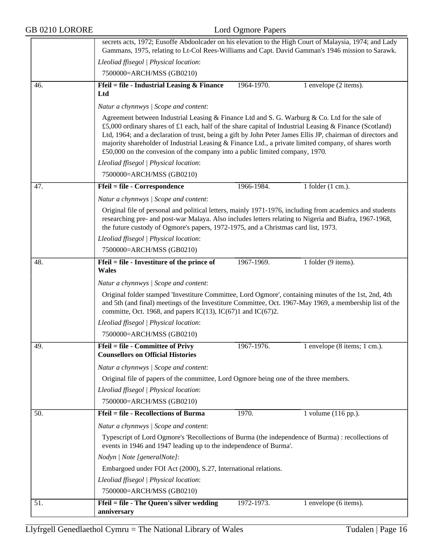| GB 0210 LORORE | Lord Ogmore Papers                                                                                                                                                                                                                                                                                                                                                                                                                                                                                                |  |  |  |
|----------------|-------------------------------------------------------------------------------------------------------------------------------------------------------------------------------------------------------------------------------------------------------------------------------------------------------------------------------------------------------------------------------------------------------------------------------------------------------------------------------------------------------------------|--|--|--|
|                | secrets acts, 1972; Eusoffe Abdoolcader on his elevation to the High Court of Malaysia, 1974; and Lady<br>Gammans, 1975, relating to Lt-Col Rees-Williams and Capt. David Gamman's 1946 mission to Sarawk.                                                                                                                                                                                                                                                                                                        |  |  |  |
|                | Lleoliad ffisegol   Physical location:                                                                                                                                                                                                                                                                                                                                                                                                                                                                            |  |  |  |
|                | 7500000=ARCH/MSS (GB0210)                                                                                                                                                                                                                                                                                                                                                                                                                                                                                         |  |  |  |
| 46.            | Ffeil = file - Industrial Leasing $\&$ Finance<br>1964-1970.<br>1 envelope (2 items).                                                                                                                                                                                                                                                                                                                                                                                                                             |  |  |  |
|                | Ltd                                                                                                                                                                                                                                                                                                                                                                                                                                                                                                               |  |  |  |
|                | Natur a chynnwys / Scope and content:                                                                                                                                                                                                                                                                                                                                                                                                                                                                             |  |  |  |
|                | Agreement between Industrial Leasing & Finance Ltd and S. G. Warburg & Co. Ltd for the sale of<br>£5,000 ordinary shares of £1 each, half of the share capital of Industrial Leasing & Finance (Scotland)<br>Ltd, 1964; and a declaration of trust, being a gift by John Peter James Ellis JP, chairman of directors and<br>majority shareholder of Industrial Leasing & Finance Ltd., a private limited company, of shares worth<br>£50,000 on the convesion of the company into a public limited company, 1970. |  |  |  |
|                | Lleoliad ffisegol   Physical location:                                                                                                                                                                                                                                                                                                                                                                                                                                                                            |  |  |  |
|                | 7500000=ARCH/MSS (GB0210)                                                                                                                                                                                                                                                                                                                                                                                                                                                                                         |  |  |  |
| 47.            | 1966-1984.<br>Ffeil = file - Correspondence<br>1 folder $(1 \text{ cm.})$ .                                                                                                                                                                                                                                                                                                                                                                                                                                       |  |  |  |
|                | Natur a chynnwys / Scope and content:                                                                                                                                                                                                                                                                                                                                                                                                                                                                             |  |  |  |
|                | Original file of personal and political letters, mainly 1971-1976, including from academics and students<br>researching pre- and post-war Malaya. Also includes letters relating to Nigeria and Biafra, 1967-1968,<br>the future custody of Ogmore's papers, 1972-1975, and a Christmas card list, 1973.                                                                                                                                                                                                          |  |  |  |
|                | Lleoliad ffisegol   Physical location:                                                                                                                                                                                                                                                                                                                                                                                                                                                                            |  |  |  |
|                | 7500000=ARCH/MSS (GB0210)                                                                                                                                                                                                                                                                                                                                                                                                                                                                                         |  |  |  |
| 48.            | Ffeil = file - Investiture of the prince of<br>1967-1969.<br>1 folder (9 items).<br><b>Wales</b>                                                                                                                                                                                                                                                                                                                                                                                                                  |  |  |  |
|                | Natur a chynnwys / Scope and content:                                                                                                                                                                                                                                                                                                                                                                                                                                                                             |  |  |  |
|                | Original folder stamped 'Investiture Committee, Lord Ogmore', containing minutes of the 1st, 2nd, 4th<br>and 5th (and final) meetings of the Investiture Committee, Oct. 1967-May 1969, a membership list of the<br>committe, Oct. 1968, and papers IC(13), IC(67)1 and IC(67)2.                                                                                                                                                                                                                                  |  |  |  |
|                | Lleoliad ffisegol   Physical location:                                                                                                                                                                                                                                                                                                                                                                                                                                                                            |  |  |  |
|                | 7500000=ARCH/MSS (GB0210)                                                                                                                                                                                                                                                                                                                                                                                                                                                                                         |  |  |  |
| 49.            | <b>Ffeil = file - Committee of Privy</b><br>1967-1976.<br>1 envelope $(8 \text{ items}; 1 \text{ cm.})$ .<br><b>Counsellors on Official Histories</b>                                                                                                                                                                                                                                                                                                                                                             |  |  |  |
|                | Natur a chynnwys / Scope and content:                                                                                                                                                                                                                                                                                                                                                                                                                                                                             |  |  |  |
|                | Original file of papers of the committee, Lord Ogmore being one of the three members.                                                                                                                                                                                                                                                                                                                                                                                                                             |  |  |  |
|                | Lleoliad ffisegol   Physical location:                                                                                                                                                                                                                                                                                                                                                                                                                                                                            |  |  |  |
|                | 7500000=ARCH/MSS (GB0210)                                                                                                                                                                                                                                                                                                                                                                                                                                                                                         |  |  |  |
| 50.            | <b>Ffeil = file - Recollections of Burma</b><br>1970.<br>1 volume (116 pp.).                                                                                                                                                                                                                                                                                                                                                                                                                                      |  |  |  |
|                | Natur a chynnwys / Scope and content:                                                                                                                                                                                                                                                                                                                                                                                                                                                                             |  |  |  |
|                | Typescript of Lord Ogmore's 'Recollections of Burma (the independence of Burma) : recollections of<br>events in 1946 and 1947 leading up to the independence of Burma'.                                                                                                                                                                                                                                                                                                                                           |  |  |  |
|                | Nodyn   Note [generalNote]:                                                                                                                                                                                                                                                                                                                                                                                                                                                                                       |  |  |  |
|                | Embargoed under FOI Act (2000), S.27, International relations.                                                                                                                                                                                                                                                                                                                                                                                                                                                    |  |  |  |
|                | Lleoliad ffisegol   Physical location:                                                                                                                                                                                                                                                                                                                                                                                                                                                                            |  |  |  |
|                | 7500000=ARCH/MSS (GB0210)                                                                                                                                                                                                                                                                                                                                                                                                                                                                                         |  |  |  |
| 51.            | Ffeil = file - The Queen's silver wedding<br>1972-1973.<br>1 envelope (6 items).                                                                                                                                                                                                                                                                                                                                                                                                                                  |  |  |  |
|                | anniversary                                                                                                                                                                                                                                                                                                                                                                                                                                                                                                       |  |  |  |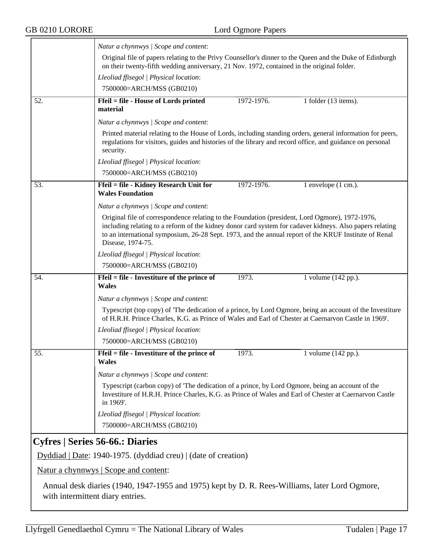<span id="page-16-0"></span>

|     | Natur a chynnwys / Scope and content:                                                                                                                                                                                                                                                                                                     |            |                      |  |  |  |
|-----|-------------------------------------------------------------------------------------------------------------------------------------------------------------------------------------------------------------------------------------------------------------------------------------------------------------------------------------------|------------|----------------------|--|--|--|
|     | Original file of papers relating to the Privy Counsellor's dinner to the Queen and the Duke of Edinburgh<br>on their twenty-fifth wedding anniversary, 21 Nov. 1972, contained in the original folder.                                                                                                                                    |            |                      |  |  |  |
|     | Lleoliad ffisegol   Physical location:                                                                                                                                                                                                                                                                                                    |            |                      |  |  |  |
|     | 7500000=ARCH/MSS (GB0210)                                                                                                                                                                                                                                                                                                                 |            |                      |  |  |  |
| 52. | Ffeil = file - House of Lords printed<br>material                                                                                                                                                                                                                                                                                         | 1972-1976. | 1 folder (13 items). |  |  |  |
|     | Natur a chynnwys / Scope and content:                                                                                                                                                                                                                                                                                                     |            |                      |  |  |  |
|     | Printed material relating to the House of Lords, including standing orders, general information for peers,<br>regulations for visitors, guides and histories of the library and record office, and guidance on personal<br>security.                                                                                                      |            |                      |  |  |  |
|     | Lleoliad ffisegol   Physical location:                                                                                                                                                                                                                                                                                                    |            |                      |  |  |  |
|     | 7500000=ARCH/MSS (GB0210)                                                                                                                                                                                                                                                                                                                 |            |                      |  |  |  |
| 53. | Ffeil = file - Kidney Research Unit for<br><b>Wales Foundation</b>                                                                                                                                                                                                                                                                        | 1972-1976. | 1 envelope (1 cm.).  |  |  |  |
|     | Natur a chynnwys / Scope and content:                                                                                                                                                                                                                                                                                                     |            |                      |  |  |  |
|     | Original file of correspondence relating to the Foundation (president, Lord Ogmore), 1972-1976,<br>including relating to a reform of the kidney donor card system for cadaver kidneys. Also papers relating<br>to an international symposium, 26-28 Sept. 1973, and the annual report of the KRUF Institute of Renal<br>Disease, 1974-75. |            |                      |  |  |  |
|     | Lleoliad ffisegol   Physical location:                                                                                                                                                                                                                                                                                                    |            |                      |  |  |  |
|     | 7500000=ARCH/MSS (GB0210)                                                                                                                                                                                                                                                                                                                 |            |                      |  |  |  |
| 54. | Ffeil = file - Investiture of the prince of<br><b>Wales</b>                                                                                                                                                                                                                                                                               | 1973.      | 1 volume (142 pp.).  |  |  |  |
|     | Natur a chynnwys / Scope and content:                                                                                                                                                                                                                                                                                                     |            |                      |  |  |  |
|     | Typescript (top copy) of 'The dedication of a prince, by Lord Ogmore, being an account of the Investiture<br>of H.R.H. Prince Charles, K.G. as Prince of Wales and Earl of Chester at Caernarvon Castle in 1969'.                                                                                                                         |            |                      |  |  |  |
|     |                                                                                                                                                                                                                                                                                                                                           |            |                      |  |  |  |
|     | Lleoliad ffisegol   Physical location:                                                                                                                                                                                                                                                                                                    |            |                      |  |  |  |
|     | 7500000=ARCH/MSS (GB0210)                                                                                                                                                                                                                                                                                                                 |            |                      |  |  |  |
| 55. | Ffeil = file - Investiture of the prince of<br><b>Wales</b>                                                                                                                                                                                                                                                                               | 1973.      | 1 volume (142 pp.).  |  |  |  |
|     | Natur a chynnwys / Scope and content:                                                                                                                                                                                                                                                                                                     |            |                      |  |  |  |
|     | Typescript (carbon copy) of 'The dedication of a prince, by Lord Ogmore, being an account of the<br>Investiture of H.R.H. Prince Charles, K.G. as Prince of Wales and Earl of Chester at Caernarvon Castle<br>in 1969'.                                                                                                                   |            |                      |  |  |  |
|     | Lleoliad ffisegol   Physical location:                                                                                                                                                                                                                                                                                                    |            |                      |  |  |  |
|     | 7500000=ARCH/MSS (GB0210)                                                                                                                                                                                                                                                                                                                 |            |                      |  |  |  |
|     | Cyfres   Series 56-66.: Diaries                                                                                                                                                                                                                                                                                                           |            |                      |  |  |  |
|     | Dyddiad   Date: 1940-1975. (dyddiad creu)   (date of creation)                                                                                                                                                                                                                                                                            |            |                      |  |  |  |
|     | Natur a chynnwys   Scope and content:                                                                                                                                                                                                                                                                                                     |            |                      |  |  |  |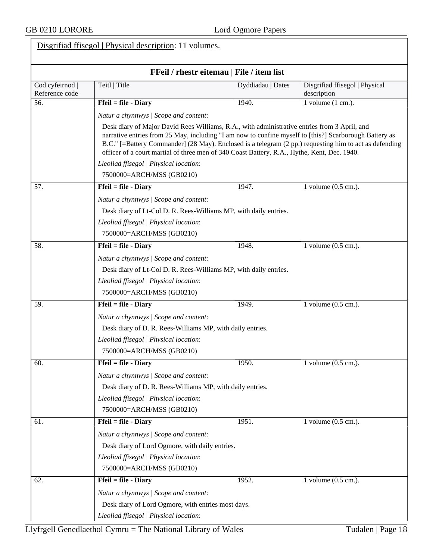| FFeil / rhestr eitemau   File / item list |                                                                                                                                                                                                                                                                                                                                                                                                                 |                                                                  |                                               |  |  |  |
|-------------------------------------------|-----------------------------------------------------------------------------------------------------------------------------------------------------------------------------------------------------------------------------------------------------------------------------------------------------------------------------------------------------------------------------------------------------------------|------------------------------------------------------------------|-----------------------------------------------|--|--|--|
| Cod cyfeirnod<br>Reference code           | Teitl   Title                                                                                                                                                                                                                                                                                                                                                                                                   | Dyddiadau   Dates                                                | Disgrifiad ffisegol   Physical<br>description |  |  |  |
| 56.                                       | $Ffeil = file - Diary$                                                                                                                                                                                                                                                                                                                                                                                          | 1940.                                                            | 1 volume $(1 \text{ cm.})$ .                  |  |  |  |
|                                           | Natur a chynnwys / Scope and content:                                                                                                                                                                                                                                                                                                                                                                           |                                                                  |                                               |  |  |  |
|                                           | Desk diary of Major David Rees Williams, R.A., with administrative entries from 3 April, and<br>narrative entries from 25 May, including "I am now to confine myself to [this?] Scarborough Battery as<br>B.C." [=Battery Commander] (28 May). Enclosed is a telegram (2 pp.) requesting him to act as defending<br>officer of a court martial of three men of 340 Coast Battery, R.A., Hythe, Kent, Dec. 1940. |                                                                  |                                               |  |  |  |
|                                           | Lleoliad ffisegol   Physical location:                                                                                                                                                                                                                                                                                                                                                                          |                                                                  |                                               |  |  |  |
|                                           | 7500000=ARCH/MSS (GB0210)                                                                                                                                                                                                                                                                                                                                                                                       |                                                                  |                                               |  |  |  |
| 57.                                       | $Ffeil = file - Diary$                                                                                                                                                                                                                                                                                                                                                                                          | 1947.                                                            | 1 volume $(0.5 \text{ cm.})$ .                |  |  |  |
|                                           | Natur a chynnwys / Scope and content:                                                                                                                                                                                                                                                                                                                                                                           |                                                                  |                                               |  |  |  |
|                                           |                                                                                                                                                                                                                                                                                                                                                                                                                 | Desk diary of Lt-Col D. R. Rees-Williams MP, with daily entries. |                                               |  |  |  |
|                                           | Lleoliad ffisegol   Physical location:                                                                                                                                                                                                                                                                                                                                                                          |                                                                  |                                               |  |  |  |
|                                           | 7500000=ARCH/MSS (GB0210)                                                                                                                                                                                                                                                                                                                                                                                       |                                                                  |                                               |  |  |  |
| 58.                                       | $Ffeil = file - Diary$                                                                                                                                                                                                                                                                                                                                                                                          | 1948.                                                            | 1 volume (0.5 cm.).                           |  |  |  |
|                                           | Natur a chynnwys / Scope and content:                                                                                                                                                                                                                                                                                                                                                                           |                                                                  |                                               |  |  |  |
|                                           |                                                                                                                                                                                                                                                                                                                                                                                                                 | Desk diary of Lt-Col D. R. Rees-Williams MP, with daily entries. |                                               |  |  |  |
|                                           | Lleoliad ffisegol   Physical location:                                                                                                                                                                                                                                                                                                                                                                          |                                                                  |                                               |  |  |  |
|                                           | 7500000=ARCH/MSS (GB0210)                                                                                                                                                                                                                                                                                                                                                                                       |                                                                  |                                               |  |  |  |
| 59.                                       | $Ffeil = file - Diary$                                                                                                                                                                                                                                                                                                                                                                                          | 1949.                                                            | 1 volume (0.5 cm.).                           |  |  |  |
|                                           | Natur a chynnwys / Scope and content:                                                                                                                                                                                                                                                                                                                                                                           |                                                                  |                                               |  |  |  |
|                                           | Desk diary of D. R. Rees-Williams MP, with daily entries.                                                                                                                                                                                                                                                                                                                                                       |                                                                  |                                               |  |  |  |
|                                           | Lleoliad ffisegol   Physical location:                                                                                                                                                                                                                                                                                                                                                                          |                                                                  |                                               |  |  |  |
|                                           | 7500000=ARCH/MSS (GB0210)                                                                                                                                                                                                                                                                                                                                                                                       |                                                                  |                                               |  |  |  |
| 60.                                       | $Ffeil = file - Diagram$                                                                                                                                                                                                                                                                                                                                                                                        | 1950.                                                            | 1 volume $(0.5 \text{ cm.})$ .                |  |  |  |
|                                           | Natur a chynnwys / Scope and content:                                                                                                                                                                                                                                                                                                                                                                           |                                                                  |                                               |  |  |  |
|                                           | Desk diary of D. R. Rees-Williams MP, with daily entries.                                                                                                                                                                                                                                                                                                                                                       |                                                                  |                                               |  |  |  |
|                                           | Lleoliad ffisegol   Physical location:                                                                                                                                                                                                                                                                                                                                                                          |                                                                  |                                               |  |  |  |
|                                           | 7500000=ARCH/MSS (GB0210)                                                                                                                                                                                                                                                                                                                                                                                       |                                                                  |                                               |  |  |  |
| 61.                                       | $Ffeil = file - Diary$                                                                                                                                                                                                                                                                                                                                                                                          | 1951.                                                            | 1 volume $(0.5 \text{ cm.})$ .                |  |  |  |
|                                           | Natur a chynnwys / Scope and content:                                                                                                                                                                                                                                                                                                                                                                           |                                                                  |                                               |  |  |  |
|                                           | Desk diary of Lord Ogmore, with daily entries.                                                                                                                                                                                                                                                                                                                                                                  |                                                                  |                                               |  |  |  |
|                                           | Lleoliad ffisegol   Physical location:                                                                                                                                                                                                                                                                                                                                                                          |                                                                  |                                               |  |  |  |
|                                           | 7500000=ARCH/MSS (GB0210)                                                                                                                                                                                                                                                                                                                                                                                       |                                                                  |                                               |  |  |  |
| 62.                                       | $Ffeil = file - Diary$                                                                                                                                                                                                                                                                                                                                                                                          | 1952.                                                            | 1 volume $(0.5 \text{ cm.})$ .                |  |  |  |
|                                           | Natur a chynnwys / Scope and content:                                                                                                                                                                                                                                                                                                                                                                           |                                                                  |                                               |  |  |  |
|                                           | Desk diary of Lord Ogmore, with entries most days.                                                                                                                                                                                                                                                                                                                                                              |                                                                  |                                               |  |  |  |
|                                           | Lleoliad ffisegol   Physical location:                                                                                                                                                                                                                                                                                                                                                                          |                                                                  |                                               |  |  |  |